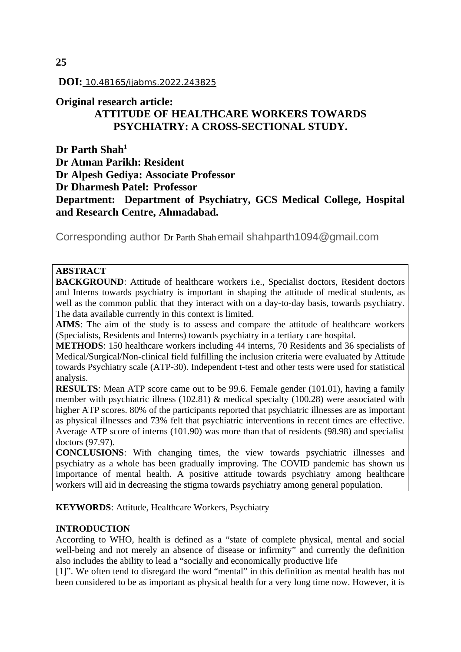# **DOI:** 10.48165/ijabms.2022.243825

# **Original research article:**

# **ATTITUDE OF HEALTHCARE WORKERS TOWARDS PSYCHIATRY: A CROSS-SECTIONAL STUDY.**

**Dr Parth Shah<sup>1</sup> Dr Atman Parikh: Resident Dr Alpesh Gediya: Associate Professor Dr Dharmesh Patel: Professor Department: Department of Psychiatry, GCS Medical College, Hospital and Research Centre, Ahmadabad.**

Corresponding author Dr Parth Shahemail shahparth1094@gmail.com

# **ABSTRACT**

**BACKGROUND:** Attitude of healthcare workers i.e., Specialist doctors, Resident doctors and Interns towards psychiatry is important in shaping the attitude of medical students, as well as the common public that they interact with on a day-to-day basis, towards psychiatry. The data available currently in this context is limited.

**AIMS**: The aim of the study is to assess and compare the attitude of healthcare workers (Specialists, Residents and Interns) towards psychiatry in a tertiary care hospital.

**METHODS**: 150 healthcare workers including 44 interns, 70 Residents and 36 specialists of Medical/Surgical/Non-clinical field fulfilling the inclusion criteria were evaluated by Attitude towards Psychiatry scale (ATP-30). Independent t-test and other tests were used for statistical analysis.

**RESULTS**: Mean ATP score came out to be 99.6. Female gender (101.01), having a family member with psychiatric illness (102.81) & medical specialty (100.28) were associated with higher ATP scores. 80% of the participants reported that psychiatric illnesses are as important as physical illnesses and 73% felt that psychiatric interventions in recent times are effective. Average ATP score of interns (101.90) was more than that of residents (98.98) and specialist doctors (97.97).

**CONCLUSIONS**: With changing times, the view towards psychiatric illnesses and psychiatry as a whole has been gradually improving. The COVID pandemic has shown us importance of mental health. A positive attitude towards psychiatry among healthcare workers will aid in decreasing the stigma towards psychiatry among general population.

**KEYWORDS**: Attitude, Healthcare Workers, Psychiatry

### **INTRODUCTION**

According to WHO, health is defined as a "state of complete physical, mental and social well-being and not merely an absence of disease or infirmity" and currently the definition also includes the ability to lead a "socially and economically productive life

[1]". We often tend to disregard the word "mental" in this definition as mental health has not been considered to be as important as physical health for a very long time now. However, it is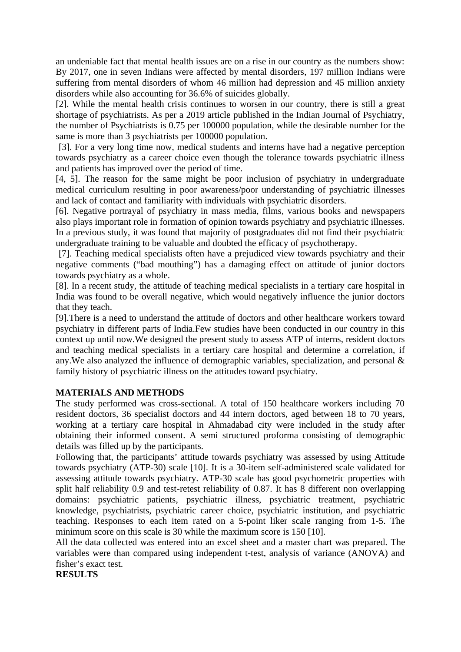an undeniable fact that mental health issues are on a rise in our country as the numbers show: By 2017, one in seven Indians were affected by mental disorders, 197 million Indians were suffering from mental disorders of whom 46 million had depression and 45 million anxiety disorders while also accounting for 36.6% of suicides globally.

[2]. While the mental health crisis continues to worsen in our country, there is still a great shortage of psychiatrists. As per a 2019 article published in the Indian Journal of Psychiatry, the number of Psychiatrists is 0.75 per 100000 population, while the desirable number for the same is more than 3 psychiatrists per 100000 population.

 [3]. For a very long time now, medical students and interns have had a negative perception towards psychiatry as a career choice even though the tolerance towards psychiatric illness and patients has improved over the period of time.

[4, 5]. The reason for the same might be poor inclusion of psychiatry in undergraduate medical curriculum resulting in poor awareness/poor understanding of psychiatric illnesses and lack of contact and familiarity with individuals with psychiatric disorders.

[6]. Negative portrayal of psychiatry in mass media, films, various books and newspapers also plays important role in formation of opinion towards psychiatry and psychiatric illnesses. In a previous study, it was found that majority of postgraduates did not find their psychiatric undergraduate training to be valuable and doubted the efficacy of psychotherapy.

 [7]. Teaching medical specialists often have a prejudiced view towards psychiatry and their negative comments ("bad mouthing") has a damaging effect on attitude of junior doctors towards psychiatry as a whole.

[8]. In a recent study, the attitude of teaching medical specialists in a tertiary care hospital in India was found to be overall negative, which would negatively influence the junior doctors that they teach.

[9].There is a need to understand the attitude of doctors and other healthcare workers toward psychiatry in different parts of India.Few studies have been conducted in our country in this context up until now.We designed the present study to assess ATP of interns, resident doctors and teaching medical specialists in a tertiary care hospital and determine a correlation, if any.We also analyzed the influence of demographic variables, specialization, and personal & family history of psychiatric illness on the attitudes toward psychiatry.

### **MATERIALS AND METHODS**

The study performed was cross-sectional. A total of 150 healthcare workers including 70 resident doctors, 36 specialist doctors and 44 intern doctors, aged between 18 to 70 years, working at a tertiary care hospital in Ahmadabad city were included in the study after obtaining their informed consent. A semi structured proforma consisting of demographic details was filled up by the participants.

Following that, the participants' attitude towards psychiatry was assessed by using Attitude towards psychiatry (ATP-30) scale [10]. It is a 30-item self-administered scale validated for assessing attitude towards psychiatry. ATP-30 scale has good psychometric properties with split half reliability 0.9 and test-retest reliability of 0.87. It has 8 different non overlapping domains: psychiatric patients, psychiatric illness, psychiatric treatment, psychiatric knowledge, psychiatrists, psychiatric career choice, psychiatric institution, and psychiatric teaching. Responses to each item rated on a 5-point liker scale ranging from 1-5. The minimum score on this scale is 30 while the maximum score is 150 [10].

All the data collected was entered into an excel sheet and a master chart was prepared. The variables were than compared using independent t-test, analysis of variance (ANOVA) and fisher's exact test.

**RESULTS**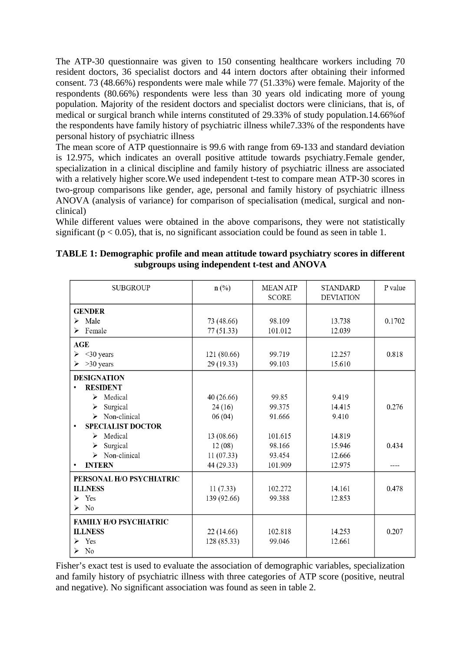The ATP-30 questionnaire was given to 150 consenting healthcare workers including 70 resident doctors, 36 specialist doctors and 44 intern doctors after obtaining their informed consent. 73 (48.66%) respondents were male while 77 (51.33%) were female. Majority of the respondents (80.66%) respondents were less than 30 years old indicating more of young population. Majority of the resident doctors and specialist doctors were clinicians, that is, of medical or surgical branch while interns constituted of 29.33% of study population.14.66%of the respondents have family history of psychiatric illness while7.33% of the respondents have personal history of psychiatric illness

The mean score of ATP questionnaire is 99.6 with range from 69-133 and standard deviation is 12.975, which indicates an overall positive attitude towards psychiatry.Female gender, specialization in a clinical discipline and family history of psychiatric illness are associated with a relatively higher score.We used independent t-test to compare mean ATP-30 scores in two-group comparisons like gender, age, personal and family history of psychiatric illness ANOVA (analysis of variance) for comparison of specialisation (medical, surgical and nonclinical)

While different values were obtained in the above comparisons, they were not statistically significant ( $p < 0.05$ ), that is, no significant association could be found as seen in table 1.

| <b>SUBGROUP</b>                       | $n$ (%)     | <b>MEAN ATP</b><br><b>SCORE</b> | <b>STANDARD</b><br><b>DEVIATION</b> | P value |
|---------------------------------------|-------------|---------------------------------|-------------------------------------|---------|
| <b>GENDER</b>                         |             |                                 |                                     |         |
| Male<br>$\blacktriangleright$         | 73 (48.66)  | 98.109                          | 13.738                              | 0.1702  |
| Female<br>⋗                           | 77(51.33)   | 101.012                         | 12.039                              |         |
| <b>AGE</b>                            |             |                                 |                                     |         |
| $<$ 30 years<br>⋗                     | 121 (80.66) | 99.719                          | 12.257                              | 0.818   |
| $>30$ years<br>≻                      | 29 (19.33)  | 99.103                          | 15.610                              |         |
| <b>DESIGNATION</b>                    |             |                                 |                                     |         |
| <b>RESIDENT</b><br>٠                  |             |                                 |                                     |         |
| $\triangleright$ Medical              | 40 (26.66)  | 99.85                           | 9.419                               |         |
| Surgical<br>≻                         | 24(16)      | 99.375                          | 14.415                              | 0.276   |
| Non-clinical<br>$\blacktriangleright$ | 06(04)      | 91.666                          | 9.410                               |         |
| <b>SPECIALIST DOCTOR</b>              |             |                                 |                                     |         |
| Medical<br>≻                          | 13 (08.66)  | 101.615                         | 14.819                              |         |
| Surgical<br>➤                         | 12(08)      | 98.166                          | 15.946                              | 0.434   |
| $\triangleright$ Non-clinical         | 11(07.33)   | 93.454                          | 12.666                              |         |
| <b>INTERN</b><br>$\bullet$            | 44 (29.33)  | 101.909                         | 12.975                              | ----    |
| PERSONAL H/O PSYCHIATRIC              |             |                                 |                                     |         |
| <b>ILLNESS</b>                        | 11(7.33)    | 102.272                         | 14.161                              | 0.478   |
| $\triangleright$ Yes                  | 139 (92.66) | 99.388                          | 12.853                              |         |
| $\triangleright$ No                   |             |                                 |                                     |         |
| <b>FAMILY H/O PSYCHIATRIC</b>         |             |                                 |                                     |         |
| <b>ILLNESS</b>                        | 22(14.66)   | 102.818                         | 14.253                              | 0.207   |
| Yes<br>≻                              | 128 (85.33) | 99.046                          | 12.661                              |         |
| N <sub>0</sub><br>≻                   |             |                                 |                                     |         |

| TABLE 1: Demographic profile and mean attitude toward psychiatry scores in different |  |
|--------------------------------------------------------------------------------------|--|
| subgroups using independent t-test and ANOVA                                         |  |

Fisher's exact test is used to evaluate the association of demographic variables, specialization and family history of psychiatric illness with three categories of ATP score (positive, neutral and negative). No significant association was found as seen in table 2.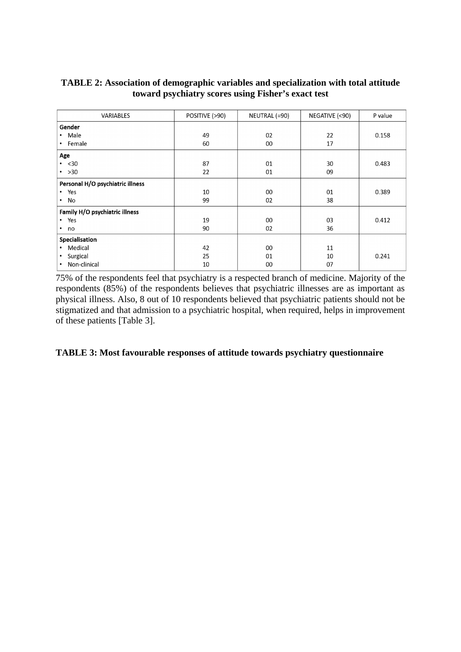| VARIABLES                        | POSITIVE (>90) | NEUTRAL (=90) | NEGATIVE (<90) | P value |
|----------------------------------|----------------|---------------|----------------|---------|
| Gender                           |                |               |                |         |
| Male<br>$\bullet$                | 49             | 02            | 22             | 0.158   |
| Female<br>$\bullet$              | 60             | 00            | 17             |         |
| Age                              |                |               |                |         |
| $\cdot$ <30                      | 87             | 01            | 30             | 0.483   |
| $\cdot$ >30                      | 22             | 01            | 09             |         |
| Personal H/O psychiatric illness |                |               |                |         |
| Yes<br>$\bullet$                 | 10             | 00            | 01             | 0.389   |
| No<br>$\bullet$                  | 99             | 02            | 38             |         |
| Family H/O psychiatric illness   |                |               |                |         |
| Yes<br>$\bullet$                 | 19             | 00            | 03             | 0.412   |
| no<br>$\bullet$                  | 90             | 02            | 36             |         |
| Specialisation                   |                |               |                |         |
| Medical<br>$\bullet$             | 42             | 00            | 11             |         |
| Surgical<br>$\bullet$            | 25             | 01            | 10             | 0.241   |
| Non-clinical<br>٠                | 10             | 00            | 07             |         |

# **TABLE 2: Association of demographic variables and specialization with total attitude toward psychiatry scores using Fisher's exact test**

75% of the respondents feel that psychiatry is a respected branch of medicine. Majority of the respondents (85%) of the respondents believes that psychiatric illnesses are as important as physical illness. Also, 8 out of 10 respondents believed that psychiatric patients should not be stigmatized and that admission to a psychiatric hospital, when required, helps in improvement of these patients [Table 3].

**TABLE 3: Most favourable responses of attitude towards psychiatry questionnaire**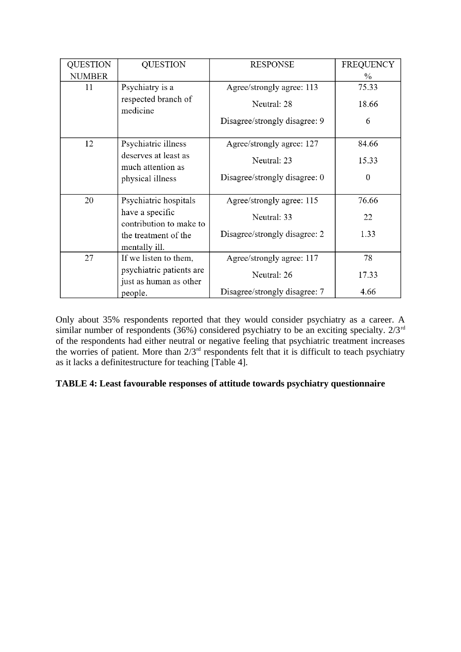| <b>QUESTION</b> | <b>QUESTION</b>                                    | <b>RESPONSE</b>               | <b>FREQUENCY</b> |
|-----------------|----------------------------------------------------|-------------------------------|------------------|
| <b>NUMBER</b>   |                                                    |                               | $\%$             |
| 11              | Psychiatry is a                                    | Agree/strongly agree: 113     | 75.33            |
|                 | respected branch of<br>medicine                    | Neutral: 28                   | 18.66            |
|                 |                                                    | Disagree/strongly disagree: 9 | 6                |
| 12              | Psychiatric illness                                | Agree/strongly agree: 127     | 84.66            |
|                 | deserves at least as<br>much attention as          | Neutral: 23                   | 15.33            |
|                 | physical illness                                   | Disagree/strongly disagree: 0 | $\theta$         |
| 20              | Psychiatric hospitals                              | Agree/strongly agree: 115     | 76.66            |
|                 | have a specific<br>contribution to make to         | Neutral: 33                   | 22               |
|                 | the treatment of the<br>mentally ill.              | Disagree/strongly disagree: 2 | 1.33             |
| 27              | If we listen to them,                              | Agree/strongly agree: 117     | 78               |
|                 | psychiatric patients are<br>just as human as other | Neutral: 26                   | 17.33            |
|                 | people.                                            | Disagree/strongly disagree: 7 | 4.66             |

Only about 35% respondents reported that they would consider psychiatry as a career. A similar number of respondents (36%) considered psychiatry to be an exciting specialty. 2/3<sup>rd</sup> of the respondents had either neutral or negative feeling that psychiatric treatment increases the worries of patient. More than  $2/3^{rd}$  respondents felt that it is difficult to teach psychiatry as it lacks a definitestructure for teaching [Table 4].

# **TABLE 4: Least favourable responses of attitude towards psychiatry questionnaire**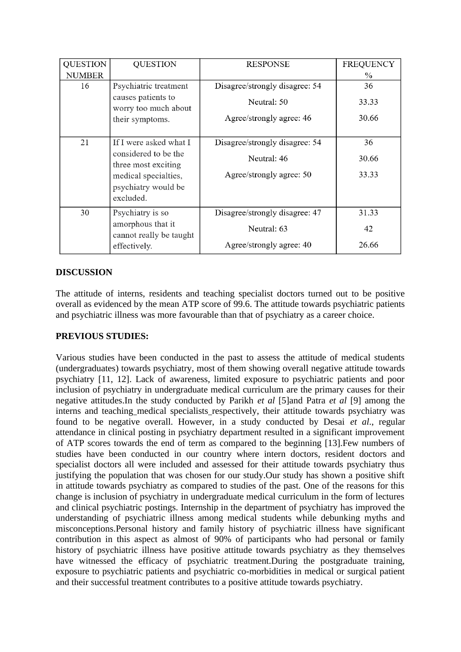| <b>QUESTION</b> | <b>QUESTION</b>                              | <b>RESPONSE</b>                | <b>FREQUENCY</b> |
|-----------------|----------------------------------------------|--------------------------------|------------------|
| <b>NUMBER</b>   |                                              |                                | $\frac{0}{0}$    |
| 16              | Psychiatric treatment                        | Disagree/strongly disagree: 54 | 36               |
|                 | causes patients to<br>worry too much about   | Neutral: 50                    | 33.33            |
|                 | their symptoms.                              | Agree/strongly agree: 46       | 30.66            |
| 21              | If I were asked what I                       | Disagree/strongly disagree: 54 | 36               |
|                 | considered to be the<br>three most exciting  | Neutral: 46                    |                  |
|                 | medical specialties,<br>psychiatry would be  | Agree/strongly agree: 50       | 33.33            |
|                 | excluded.                                    |                                |                  |
| 30              | Psychiatry is so                             | Disagree/strongly disagree: 47 | 31.33            |
|                 | amorphous that it<br>cannot really be taught | Neutral: 63                    | 42               |
|                 | effectively.                                 | Agree/strongly agree: 40       | 26.66            |

# **DISCUSSION**

The attitude of interns, residents and teaching specialist doctors turned out to be positive overall as evidenced by the mean ATP score of 99.6. The attitude towards psychiatric patients and psychiatric illness was more favourable than that of psychiatry as a career choice.

# **PREVIOUS STUDIES:**

Various studies have been conducted in the past to assess the attitude of medical students (undergraduates) towards psychiatry, most of them showing overall negative attitude towards psychiatry [11, 12]. Lack of awareness, limited exposure to psychiatric patients and poor inclusion of psychiatry in undergraduate medical curriculum are the primary causes for their negative attitudes.In the study conducted by Parikh *et al* [5]and Patra *et al* [9] among the interns and teaching medical specialists respectively, their attitude towards psychiatry was found to be negative overall. However, in a study conducted by Desai *et al*., regular attendance in clinical posting in psychiatry department resulted in a significant improvement of ATP scores towards the end of term as compared to the beginning [13].Few numbers of studies have been conducted in our country where intern doctors, resident doctors and specialist doctors all were included and assessed for their attitude towards psychiatry thus justifying the population that was chosen for our study.Our study has shown a positive shift in attitude towards psychiatry as compared to studies of the past. One of the reasons for this change is inclusion of psychiatry in undergraduate medical curriculum in the form of lectures and clinical psychiatric postings. Internship in the department of psychiatry has improved the understanding of psychiatric illness among medical students while debunking myths and misconceptions.Personal history and family history of psychiatric illness have significant contribution in this aspect as almost of 90% of participants who had personal or family history of psychiatric illness have positive attitude towards psychiatry as they themselves have witnessed the efficacy of psychiatric treatment.During the postgraduate training, exposure to psychiatric patients and psychiatric co-morbidities in medical or surgical patient and their successful treatment contributes to a positive attitude towards psychiatry.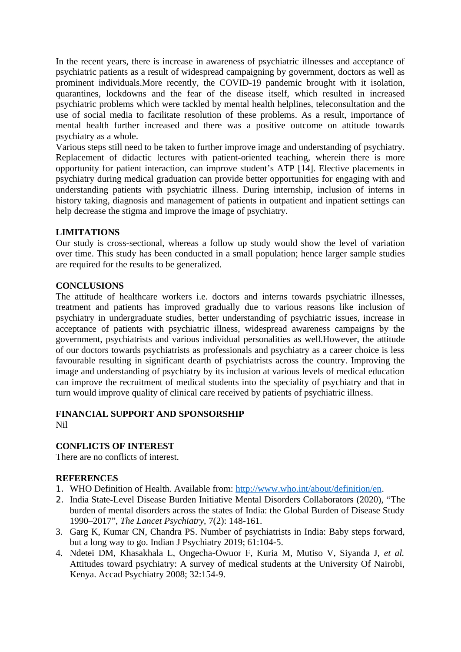In the recent years, there is increase in awareness of psychiatric illnesses and acceptance of psychiatric patients as a result of widespread campaigning by government, doctors as well as prominent individuals. More recently, the COVID-19 pandemic brought with it isolation, quarantines, lockdowns and the fear of the disease itself, which resulted in increased psychiatric problems which were tackled by mental health helplines, teleconsultation and the use of social media to facilitate resolution of these problems. As a result, importance of mental health further increased and there was a positive outcome on attitude towards psychiatry as a whole.

Various steps still need to be taken to further improve image and understanding of psychiatry. Replacement of didactic lectures with patient-oriented teaching, wherein there is more opportunity for patient interaction, can improve student's ATP [14]. Elective placements in psychiatry during medical graduation can provide better opportunities for engaging with and understanding patients with psychiatric illness. During internship, inclusion of interns in history taking, diagnosis and management of patients in outpatient and inpatient settings can help decrease the stigma and improve the image of psychiatry.

### **LIMITATIONS**

Our study is cross-sectional, whereas a follow up study would show the level of variation over time. This study has been conducted in a small population; hence larger sample studies are required for the results to be generalized.

### **CONCLUSIONS**

The attitude of healthcare workers i.e. doctors and interns towards psychiatric illnesses, treatment and patients has improved gradually due to various reasons like inclusion of psychiatry in undergraduate studies, better understanding of psychiatric issues, increase in acceptance of patients with psychiatric illness, widespread awareness campaigns by the government, psychiatrists and various individual personalities as well.However, the attitude of our doctors towards psychiatrists as professionals and psychiatry as a career choice is less favourable resulting in significant dearth of psychiatrists across the country. Improving the image and understanding of psychiatry by its inclusion at various levels of medical education can improve the recruitment of medical students into the speciality of psychiatry and that in turn would improve quality of clinical care received by patients of psychiatric illness.

#### **FINANCIAL SUPPORT AND SPONSORSHIP** Nil

# **CONFLICTS OF INTEREST**

There are no conflicts of interest.

### **REFERENCES**

- 1. WHO Definition of Health. Available from: [http://www.who.int/about/definition/en.](http://www.who.int/about/definition/en)
- 2. India State-Level Disease Burden Initiative Mental Disorders Collaborators (2020), ["The](https://www.thelancet.com/journals/lanpsy/article/PIIS2215-0366(19)30475-4/fulltext#%20) [burden of mental disorders across the states of India: the Global Burden of Disease Study](https://www.thelancet.com/journals/lanpsy/article/PIIS2215-0366(19)30475-4/fulltext#%20) [1990–2017"](https://www.thelancet.com/journals/lanpsy/article/PIIS2215-0366(19)30475-4/fulltext#%20), *The Lancet Psychiatry,* 7(2): 148-161.
- 3. Garg K, Kumar CN, Chandra PS. Number of psychiatrists in India: Baby steps forward, but a long way to go. Indian J Psychiatry 2019; 61:104-5.
- 4. Ndetei DM, Khasakhala L, Ongecha-Owuor F, Kuria M, Mutiso V, Siyanda J, *et al.* Attitudes toward psychiatry: A survey of medical students at the University Of Nairobi, Kenya. Accad Psychiatry 2008; 32:154-9.